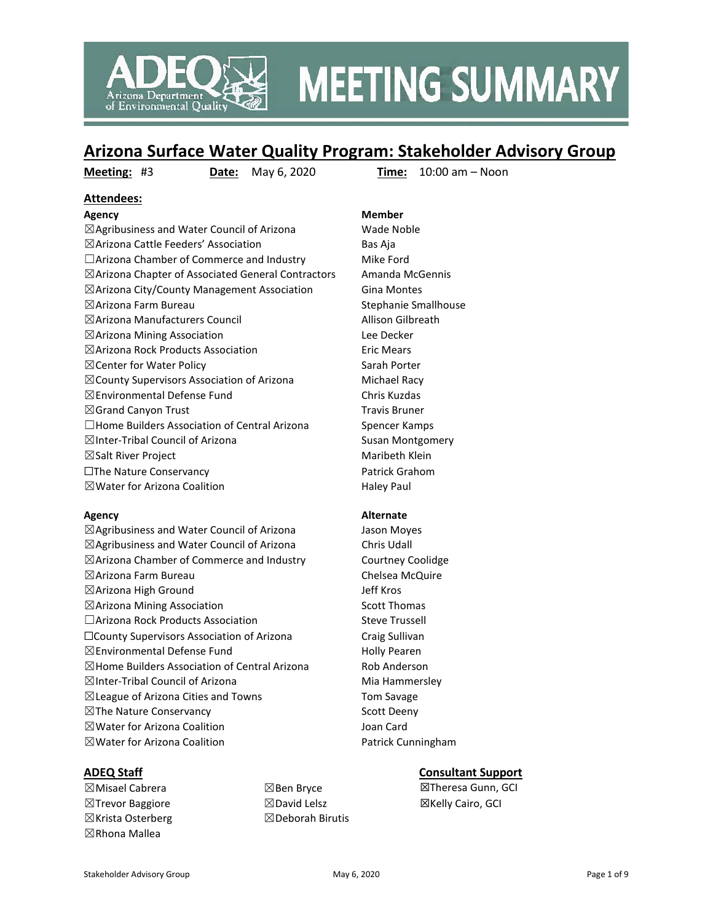

## **MEETING SUMMARY**

## **Arizona Surface Water Quality Program: Stakeholder Advisory Group**

**Meeting:** #3 **Date:** May 6, 2020 **Time:** 10:00 am – Noon

## **Attendees:**

**Agency Member** ☒Agribusiness and Water Council of Arizona Wade Noble ☒Arizona Cattle Feeders' Association Bas Aja  $\Box$ Arizona Chamber of Commerce and Industry Mike Ford ☒Arizona Chapter of Associated General Contractors Amanda McGennis  $\boxtimes$ Arizona City/County Management Association Gina Montes  $\boxtimes$ Arizona Farm Bureau  $\boxtimes$  Stephanie Smallhouse ☒Arizona Manufacturers Council Allison Gilbreath ☒Arizona Mining Association Lee Decker  $\boxtimes$ Arizona Rock Products Association Eric Mears ⊠ Center for Water Policy Sarah Porter  $\boxtimes$ County Supervisors Association of Arizona Michael Racy ☒Environmental Defense Fund Chris Kuzdas  $\boxtimes$ Grand Canyon Trust Travis Bruner □Home Builders Association of Central Arizona Spencer Kamps ⊠Inter-Tribal Council of Arizona Susan Montgomery ☒Salt River Project Maribeth Klein ☐The Nature Conservancy Patrick Grahom ⊠Water for Arizona Coalition Haley Paul

☒Agribusiness and Water Council of Arizona Jason Moyes ☒Agribusiness and Water Council of Arizona Chris Udall ☒Arizona Chamber of Commerce and Industry Courtney Coolidge ☒Arizona Farm Bureau Chelsea McQuire ☒Arizona High Ground Jeff Kros  $\boxtimes$ Arizona Mining Association  $\boxtimes$  Scott Thomas □Arizona Rock Products Association Steve Trussell ☐County Supervisors Association of Arizona Craig Sullivan  $\boxtimes$ Environmental Defense Fund  $\Box$ Environmental Defense Fund  $\boxtimes$ Home Builders Association of Central Arizona Rob Anderson  $\boxtimes$ Inter-Tribal Council of Arizona Mia Hammersley ☒League of Arizona Cities and Towns Tom Savage ⊠The Nature Conservancy Scott Deeny ☒Water for Arizona Coalition Joan Card ⊠Water for Arizona Coalition **Patrick Cunningham** 

### **Agency Alternate**

☒Misael Cabrera ☒Trevor Baggiore ☒Krista Osterberg ☒Rhona Mallea

☒Ben Bryce ☒David Lelsz ☒Deborah Birutis

### **ADEQ Staff Consultant Support**

☒Theresa Gunn, GCI ☒Kelly Cairo, GCI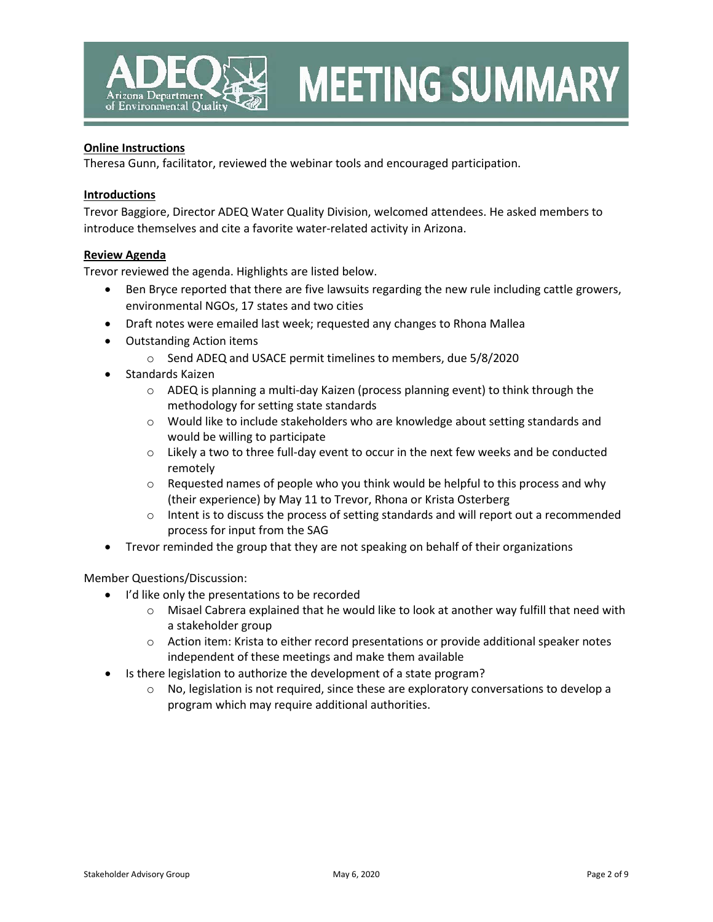

# **MEETING SUMMARY**

#### **Online Instructions**

Theresa Gunn, facilitator, reviewed the webinar tools and encouraged participation.

#### **Introductions**

Trevor Baggiore, Director ADEQ Water Quality Division, welcomed attendees. He asked members to introduce themselves and cite a favorite water-related activity in Arizona.

#### **Review Agenda**

Trevor reviewed the agenda. Highlights are listed below.

- Ben Bryce reported that there are five lawsuits regarding the new rule including cattle growers, environmental NGOs, 17 states and two cities
- Draft notes were emailed last week; requested any changes to Rhona Mallea
- Outstanding Action items
	- o Send ADEQ and USACE permit timelines to members, due 5/8/2020
- Standards Kaizen
	- $\circ$  ADEQ is planning a multi-day Kaizen (process planning event) to think through the methodology for setting state standards
	- o Would like to include stakeholders who are knowledge about setting standards and would be willing to participate
	- o Likely a two to three full-day event to occur in the next few weeks and be conducted remotely
	- $\circ$  Requested names of people who you think would be helpful to this process and why (their experience) by May 11 to Trevor, Rhona or Krista Osterberg
	- $\circ$  Intent is to discuss the process of setting standards and will report out a recommended process for input from the SAG
- Trevor reminded the group that they are not speaking on behalf of their organizations

Member Questions/Discussion:

- I'd like only the presentations to be recorded
	- $\circ$  Misael Cabrera explained that he would like to look at another way fulfill that need with a stakeholder group
	- $\circ$  Action item: Krista to either record presentations or provide additional speaker notes independent of these meetings and make them available
- Is there legislation to authorize the development of a state program?
	- $\circ$  No, legislation is not required, since these are exploratory conversations to develop a program which may require additional authorities.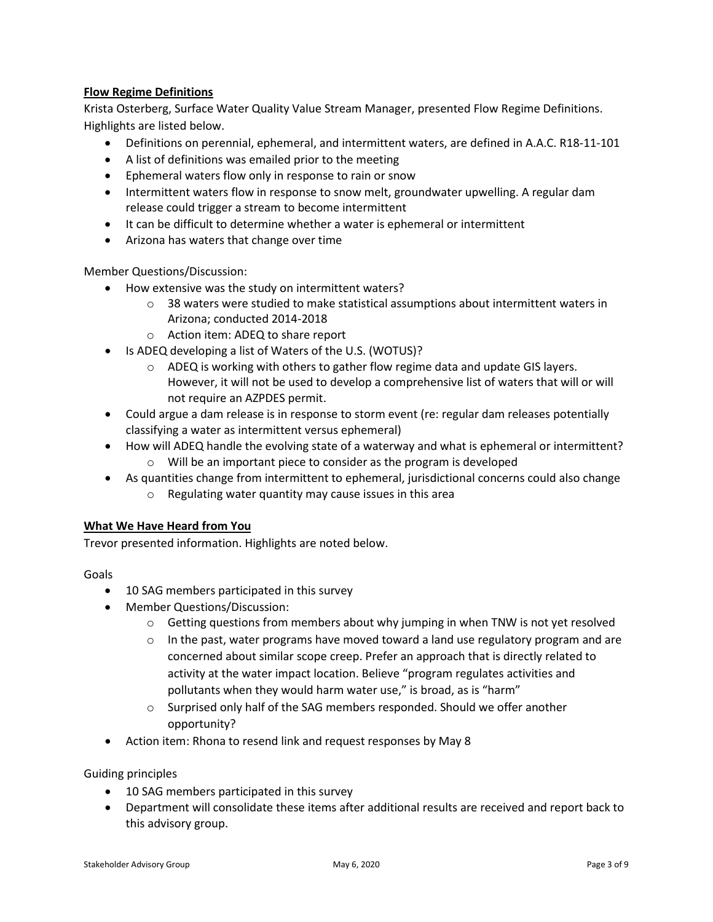## **Flow Regime Definitions**

Krista Osterberg, Surface Water Quality Value Stream Manager, presented Flow Regime Definitions. Highlights are listed below.

- Definitions on perennial, ephemeral, and intermittent waters, are defined in A.A.C. R18-11-101
- A list of definitions was emailed prior to the meeting
- Ephemeral waters flow only in response to rain or snow
- Intermittent waters flow in response to snow melt, groundwater upwelling. A regular dam release could trigger a stream to become intermittent
- It can be difficult to determine whether a water is ephemeral or intermittent
- Arizona has waters that change over time

Member Questions/Discussion:

- How extensive was the study on intermittent waters?
	- $\circ$  38 waters were studied to make statistical assumptions about intermittent waters in Arizona; conducted 2014-2018
	- o Action item: ADEQ to share report
- Is ADEQ developing a list of Waters of the U.S. (WOTUS)?
	- $\circ$  ADEQ is working with others to gather flow regime data and update GIS layers. However, it will not be used to develop a comprehensive list of waters that will or will not require an AZPDES permit.
- Could argue a dam release is in response to storm event (re: regular dam releases potentially classifying a water as intermittent versus ephemeral)
- How will ADEQ handle the evolving state of a waterway and what is ephemeral or intermittent? o Will be an important piece to consider as the program is developed
- As quantities change from intermittent to ephemeral, jurisdictional concerns could also change o Regulating water quantity may cause issues in this area

### **What We Have Heard from You**

Trevor presented information. Highlights are noted below.

#### Goals

- 10 SAG members participated in this survey
- Member Questions/Discussion:
	- $\circ$  Getting questions from members about why jumping in when TNW is not yet resolved
	- $\circ$  In the past, water programs have moved toward a land use regulatory program and are concerned about similar scope creep. Prefer an approach that is directly related to activity at the water impact location. Believe "program regulates activities and pollutants when they would harm water use," is broad, as is "harm"
	- $\circ$  Surprised only half of the SAG members responded. Should we offer another opportunity?
- Action item: Rhona to resend link and request responses by May 8

#### Guiding principles

- 10 SAG members participated in this survey
- Department will consolidate these items after additional results are received and report back to this advisory group.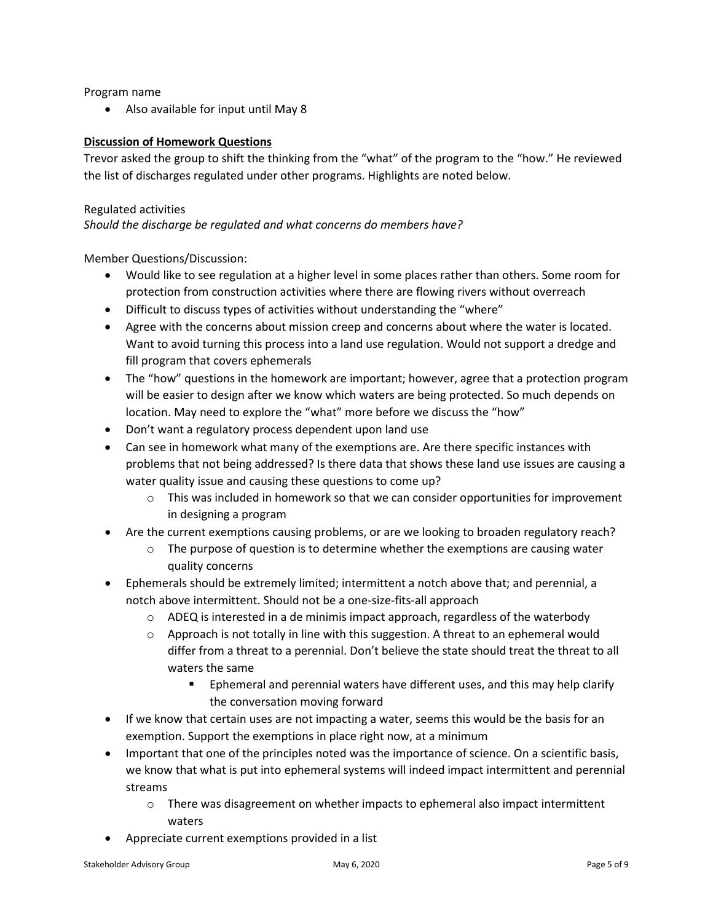Program name

• Also available for input until May 8

### **Discussion of Homework Questions**

Trevor asked the group to shift the thinking from the "what" of the program to the "how." He reviewed the list of discharges regulated under other programs. Highlights are noted below.

#### Regulated activities

*Should the discharge be regulated and what concerns do members have?*

Member Questions/Discussion:

- Would like to see regulation at a higher level in some places rather than others. Some room for protection from construction activities where there are flowing rivers without overreach
- Difficult to discuss types of activities without understanding the "where"
- Agree with the concerns about mission creep and concerns about where the water is located. Want to avoid turning this process into a land use regulation. Would not support a dredge and fill program that covers ephemerals
- The "how" questions in the homework are important; however, agree that a protection program will be easier to design after we know which waters are being protected. So much depends on location. May need to explore the "what" more before we discuss the "how"
- Don't want a regulatory process dependent upon land use
- Can see in homework what many of the exemptions are. Are there specific instances with problems that not being addressed? Is there data that shows these land use issues are causing a water quality issue and causing these questions to come up?
	- $\circ$  This was included in homework so that we can consider opportunities for improvement in designing a program
- Are the current exemptions causing problems, or are we looking to broaden regulatory reach?
	- $\circ$  The purpose of question is to determine whether the exemptions are causing water quality concerns
- Ephemerals should be extremely limited; intermittent a notch above that; and perennial, a notch above intermittent. Should not be a one-size-fits-all approach
	- $\circ$  ADEQ is interested in a de minimis impact approach, regardless of the waterbody
	- $\circ$  Approach is not totally in line with this suggestion. A threat to an ephemeral would differ from a threat to a perennial. Don't believe the state should treat the threat to all waters the same
		- **Ephemeral and perennial waters have different uses, and this may help clarify** the conversation moving forward
- If we know that certain uses are not impacting a water, seems this would be the basis for an exemption. Support the exemptions in place right now, at a minimum
- Important that one of the principles noted was the importance of science. On a scientific basis, we know that what is put into ephemeral systems will indeed impact intermittent and perennial streams
	- $\circ$  There was disagreement on whether impacts to ephemeral also impact intermittent waters
- Appreciate current exemptions provided in a list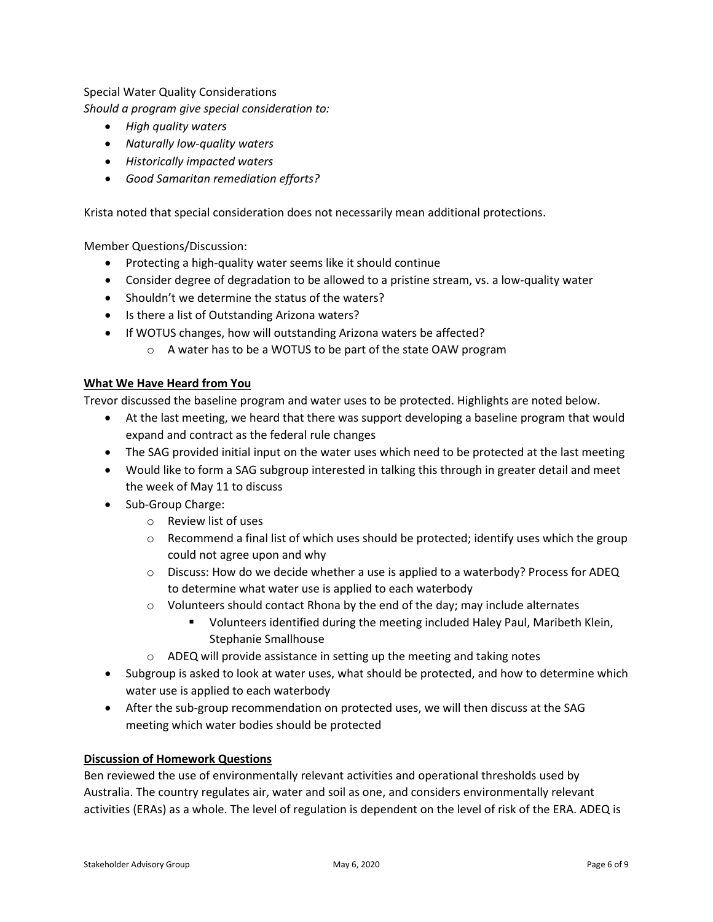#### Special Water Quality Considerations

*Should a program give special consideration to:*

- *High quality waters*
- *Naturally low-quality waters*
- *Historically impacted waters*
- *Good Samaritan remediation efforts?*

Krista noted that special consideration does not necessarily mean additional protections.

Member Questions/Discussion:

- Protecting a high-quality water seems like it should continue
- Consider degree of degradation to be allowed to a pristine stream, vs. a low-quality water
- Shouldn't we determine the status of the waters?
- Is there a list of Outstanding Arizona waters?
- If WOTUS changes, how will outstanding Arizona waters be affected?
	- o A water has to be a WOTUS to be part of the state OAW program

#### **What We Have Heard from You**

Trevor discussed the baseline program and water uses to be protected. Highlights are noted below.

- At the last meeting, we heard that there was support developing a baseline program that would expand and contract as the federal rule changes
- The SAG provided initial input on the water uses which need to be protected at the last meeting
- Would like to form a SAG subgroup interested in talking this through in greater detail and meet the week of May 11 to discuss
- Sub-Group Charge:
	- o Review list of uses
	- $\circ$  Recommend a final list of which uses should be protected; identify uses which the group could not agree upon and why
	- $\circ$  Discuss: How do we decide whether a use is applied to a waterbody? Process for ADEQ to determine what water use is applied to each waterbody
	- $\circ$  Volunteers should contact Rhona by the end of the day; may include alternates
		- Volunteers identified during the meeting included Haley Paul, Maribeth Klein, Stephanie Smallhouse
	- o ADEQ will provide assistance in setting up the meeting and taking notes
- Subgroup is asked to look at water uses, what should be protected, and how to determine which water use is applied to each waterbody
- After the sub-group recommendation on protected uses, we will then discuss at the SAG meeting which water bodies should be protected

#### **Discussion of Homework Questions**

Ben reviewed the use of environmentally relevant activities and operational thresholds used by Australia. The country regulates air, water and soil as one, and considers environmentally relevant activities (ERAs) as a whole. The level of regulation is dependent on the level of risk of the ERA. ADEQ is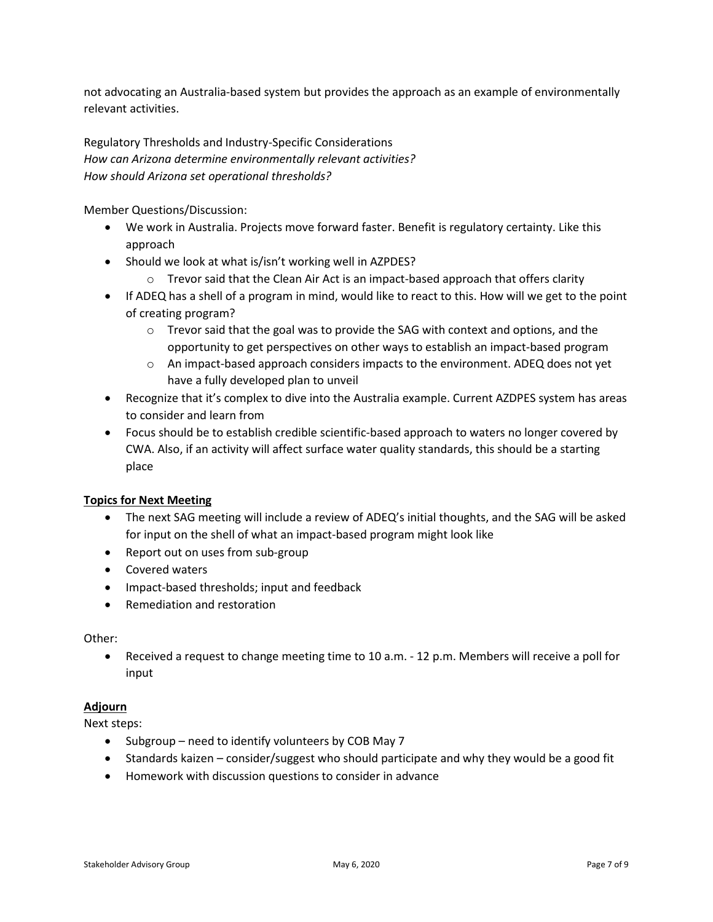not advocating an Australia-based system but provides the approach as an example of environmentally relevant activities.

Regulatory Thresholds and Industry-Specific Considerations *How can Arizona determine environmentally relevant activities? How should Arizona set operational thresholds?*

Member Questions/Discussion:

- We work in Australia. Projects move forward faster. Benefit is regulatory certainty. Like this approach
- Should we look at what is/isn't working well in AZPDES?
	- $\circ$  Trevor said that the Clean Air Act is an impact-based approach that offers clarity
- If ADEQ has a shell of a program in mind, would like to react to this. How will we get to the point of creating program?
	- $\circ$  Trevor said that the goal was to provide the SAG with context and options, and the opportunity to get perspectives on other ways to establish an impact-based program
	- o An impact-based approach considers impacts to the environment. ADEQ does not yet have a fully developed plan to unveil
- Recognize that it's complex to dive into the Australia example. Current AZDPES system has areas to consider and learn from
- Focus should be to establish credible scientific-based approach to waters no longer covered by CWA. Also, if an activity will affect surface water quality standards, this should be a starting place

### **Topics for Next Meeting**

- The next SAG meeting will include a review of ADEQ's initial thoughts, and the SAG will be asked for input on the shell of what an impact-based program might look like
- Report out on uses from sub-group
- Covered waters
- Impact-based thresholds; input and feedback
- Remediation and restoration

#### Other:

• Received a request to change meeting time to 10 a.m. - 12 p.m. Members will receive a poll for input

### **Adjourn**

Next steps:

- Subgroup need to identify volunteers by COB May 7
- Standards kaizen consider/suggest who should participate and why they would be a good fit
- Homework with discussion questions to consider in advance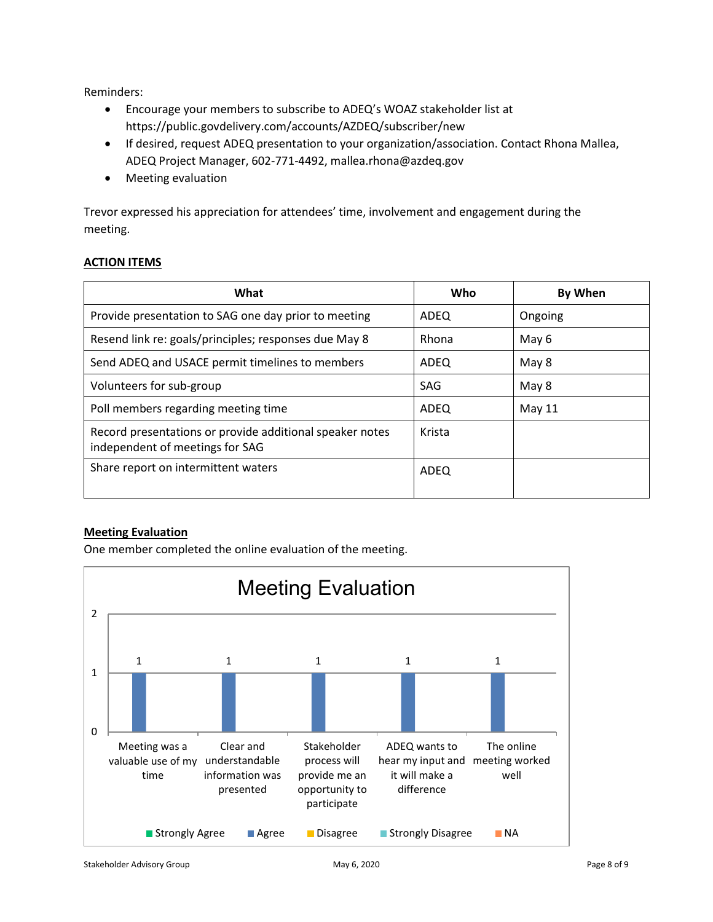Reminders:

- Encourage your members to subscribe to ADEQ's WOAZ stakeholder list at <https://public.govdelivery.com/accounts/AZDEQ/subscriber/new>
- If desired, request ADEQ presentation to your organization/association. Contact Rhona Mallea, ADEQ Project Manager, 602-771-4492, mallea.rhona@azdeq.gov
- Meeting evaluation

Trevor expressed his appreciation for attendees' time, involvement and engagement during the meeting.

#### **ACTION ITEMS**

| What                                                                                        | Who    | By When |
|---------------------------------------------------------------------------------------------|--------|---------|
| Provide presentation to SAG one day prior to meeting                                        | ADEQ   | Ongoing |
| Resend link re: goals/principles; responses due May 8                                       | Rhona  | May 6   |
| Send ADEQ and USACE permit timelines to members                                             | ADEQ   | May 8   |
| Volunteers for sub-group                                                                    | SAG    | May 8   |
| Poll members regarding meeting time                                                         | ADEQ   | May 11  |
| Record presentations or provide additional speaker notes<br>independent of meetings for SAG | Krista |         |
| Share report on intermittent waters                                                         | ADEQ   |         |

#### **Meeting Evaluation**

One member completed the online evaluation of the meeting.